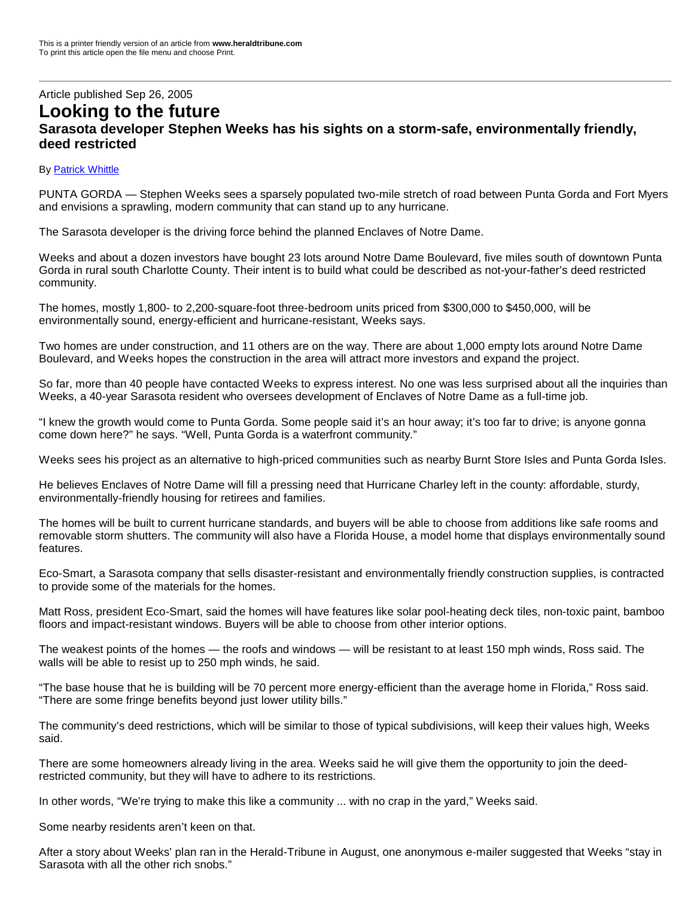## Article published Sep 26, 2005 **Looking to the future Sarasota developer Stephen Weeks has his sights on a storm-safe, environmentally friendly, deed restricted**

## By Patrick Whittle

PUNTA GORDA — Stephen Weeks sees a sparsely populated two-mile stretch of road between Punta Gorda and Fort Myers and envisions a sprawling, modern community that can stand up to any hurricane.

The Sarasota developer is the driving force behind the planned Enclaves of Notre Dame.

Weeks and about a dozen investors have bought 23 lots around Notre Dame Boulevard, five miles south of downtown Punta Gorda in rural south Charlotte County. Their intent is to build what could be described as not-your-father's deed restricted community.

The homes, mostly 1,800- to 2,200-square-foot three-bedroom units priced from \$300,000 to \$450,000, will be environmentally sound, energy-efficient and hurricane-resistant, Weeks says.

Two homes are under construction, and 11 others are on the way. There are about 1,000 empty lots around Notre Dame Boulevard, and Weeks hopes the construction in the area will attract more investors and expand the project.

So far, more than 40 people have contacted Weeks to express interest. No one was less surprised about all the inquiries than Weeks, a 40-year Sarasota resident who oversees development of Enclaves of Notre Dame as a full-time job.

"I knew the growth would come to Punta Gorda. Some people said it's an hour away; it's too far to drive; is anyone gonna come down here?" he says. "Well, Punta Gorda is a waterfront community."

Weeks sees his project as an alternative to high-priced communities such as nearby Burnt Store Isles and Punta Gorda Isles.

He believes Enclaves of Notre Dame will fill a pressing need that Hurricane Charley left in the county: affordable, sturdy, environmentally-friendly housing for retirees and families.

The homes will be built to current hurricane standards, and buyers will be able to choose from additions like safe rooms and removable storm shutters. The community will also have a Florida House, a model home that displays environmentally sound features.

Eco-Smart, a Sarasota company that sells disaster-resistant and environmentally friendly construction supplies, is contracted to provide some of the materials for the homes.

Matt Ross, president Eco-Smart, said the homes will have features like solar pool-heating deck tiles, non-toxic paint, bamboo floors and impact-resistant windows. Buyers will be able to choose from other interior options.

The weakest points of the homes — the roofs and windows — will be resistant to at least 150 mph winds, Ross said. The walls will be able to resist up to 250 mph winds, he said.

"The base house that he is building will be 70 percent more energy-efficient than the average home in Florida,"Ross said. "There are some fringe benefits beyond just lower utility bills."

The community's deed restrictions, which will be similar to those of typical subdivisions, will keep their values high, Weeks said.

There are some homeowners already living in the area. Weeks said he will give them the opportunity to join the deedrestricted community, but they will have to adhere to its restrictions.

In other words, "We're trying to make this like a community ... with no crap in the yard," Weeks said.

Some nearby residents aren't keen on that.

After a story about Weeks' plan ran in the Herald-Tribune in August, one anonymous e-mailer suggested that Weeks "stay in Sarasota with all the other rich snobs."